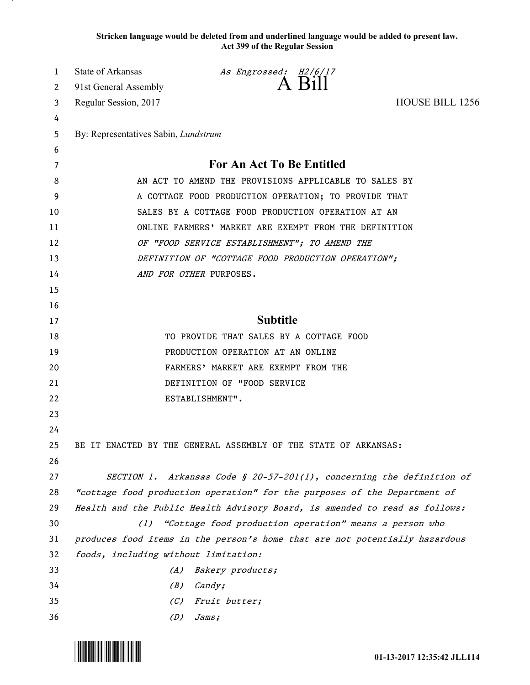**Stricken language would be deleted from and underlined language would be added to present law. Act 399 of the Regular Session**

| 1  | State of Arkansas                                                           | As Engrossed: H2/6/17                                           |                                                                             |
|----|-----------------------------------------------------------------------------|-----------------------------------------------------------------|-----------------------------------------------------------------------------|
| 2  | 91st General Assembly                                                       | A Bill                                                          |                                                                             |
| 3  | Regular Session, 2017                                                       |                                                                 | <b>HOUSE BILL 1256</b>                                                      |
| 4  |                                                                             |                                                                 |                                                                             |
| 5  | By: Representatives Sabin, Lundstrum                                        |                                                                 |                                                                             |
| 6  |                                                                             |                                                                 |                                                                             |
| 7  | For An Act To Be Entitled                                                   |                                                                 |                                                                             |
| 8  | AN ACT TO AMEND THE PROVISIONS APPLICABLE TO SALES BY                       |                                                                 |                                                                             |
| 9  | A COTTAGE FOOD PRODUCTION OPERATION; TO PROVIDE THAT                        |                                                                 |                                                                             |
| 10 | SALES BY A COTTAGE FOOD PRODUCTION OPERATION AT AN                          |                                                                 |                                                                             |
| 11 | ONLINE FARMERS' MARKET ARE EXEMPT FROM THE DEFINITION                       |                                                                 |                                                                             |
| 12 | OF "FOOD SERVICE ESTABLISHMENT"; TO AMEND THE                               |                                                                 |                                                                             |
| 13 | DEFINITION OF "COTTAGE FOOD PRODUCTION OPERATION";                          |                                                                 |                                                                             |
| 14 | AND FOR OTHER PURPOSES.                                                     |                                                                 |                                                                             |
| 15 |                                                                             |                                                                 |                                                                             |
| 16 |                                                                             |                                                                 |                                                                             |
| 17 | <b>Subtitle</b>                                                             |                                                                 |                                                                             |
| 18 | TO PROVIDE THAT SALES BY A COTTAGE FOOD                                     |                                                                 |                                                                             |
| 19 | PRODUCTION OPERATION AT AN ONLINE                                           |                                                                 |                                                                             |
| 20 | FARMERS' MARKET ARE EXEMPT FROM THE                                         |                                                                 |                                                                             |
| 21 | DEFINITION OF "FOOD SERVICE                                                 |                                                                 |                                                                             |
| 22 | ESTABLISHMENT".                                                             |                                                                 |                                                                             |
| 23 |                                                                             |                                                                 |                                                                             |
| 24 |                                                                             |                                                                 |                                                                             |
| 25 |                                                                             | BE IT ENACTED BY THE GENERAL ASSEMBLY OF THE STATE OF ARKANSAS: |                                                                             |
| 26 |                                                                             |                                                                 |                                                                             |
| 27 |                                                                             |                                                                 | SECTION 1. Arkansas Code § 20-57-201(1), concerning the definition of       |
| 28 | "cottage food production operation" for the purposes of the Department of   |                                                                 |                                                                             |
| 29 |                                                                             |                                                                 | Health and the Public Health Advisory Board, is amended to read as follows: |
| 30 | "Cottage food production operation" means a person who<br>(1)               |                                                                 |                                                                             |
| 31 | produces food items in the person's home that are not potentially hazardous |                                                                 |                                                                             |
| 32 | foods, including without limitation:                                        |                                                                 |                                                                             |
| 33 | Bakery products;<br>(A)                                                     |                                                                 |                                                                             |
| 34 | (B)                                                                         | Candy;                                                          |                                                                             |
| 35 | (C)                                                                         | Fruit butter;                                                   |                                                                             |
| 36 | (D)                                                                         | Jams;                                                           |                                                                             |